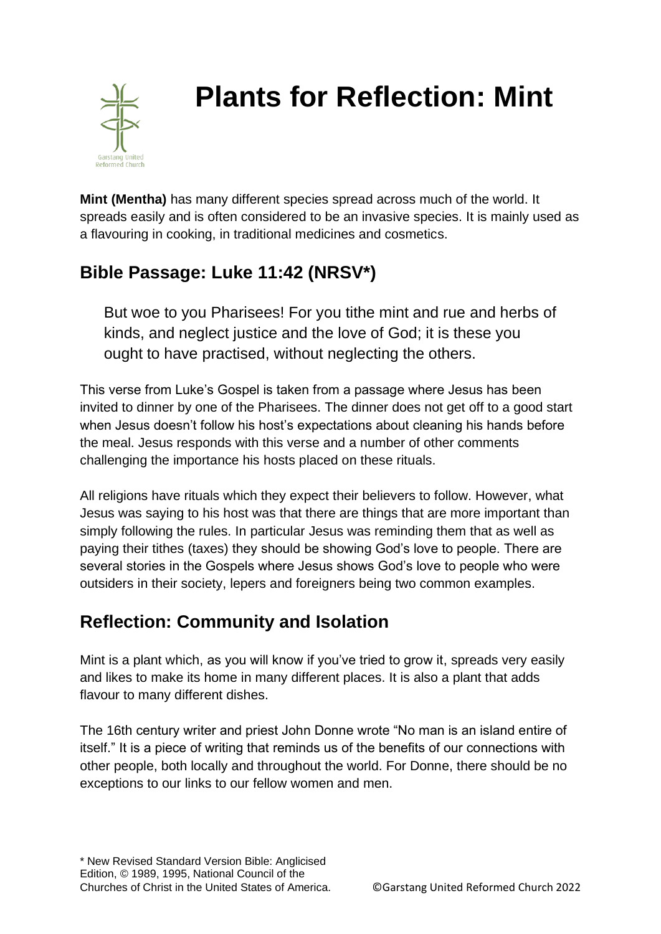

# **Plants for Reflection: Mint**

**Mint (Mentha)** has many different species spread across much of the world. It spreads easily and is often considered to be an invasive species. It is mainly used as a flavouring in cooking, in traditional medicines and cosmetics.

## **Bible Passage: Luke 11:42 (NRSV\*)**

But woe to you Pharisees! For you tithe mint and rue and herbs of kinds, and neglect justice and the love of God; it is these you ought to have practised, without neglecting the others.

This verse from Luke's Gospel is taken from a passage where Jesus has been invited to dinner by one of the Pharisees. The dinner does not get off to a good start when Jesus doesn't follow his host's expectations about cleaning his hands before the meal. Jesus responds with this verse and a number of other comments challenging the importance his hosts placed on these rituals.

All religions have rituals which they expect their believers to follow. However, what Jesus was saying to his host was that there are things that are more important than simply following the rules. In particular Jesus was reminding them that as well as paying their tithes (taxes) they should be showing God's love to people. There are several stories in the Gospels where Jesus shows God's love to people who were outsiders in their society, lepers and foreigners being two common examples.

## **Reflection: Community and Isolation**

Mint is a plant which, as you will know if you've tried to grow it, spreads very easily and likes to make its home in many different places. It is also a plant that adds flavour to many different dishes.

The 16th century writer and priest John Donne wrote "No man is an island entire of itself." It is a piece of writing that reminds us of the benefits of our connections with other people, both locally and throughout the world. For Donne, there should be no exceptions to our links to our fellow women and men.